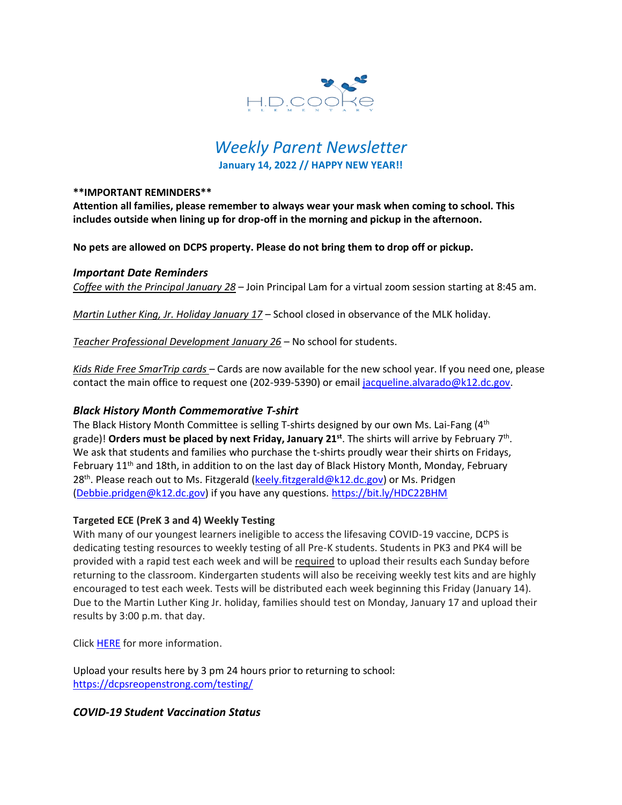

# *Weekly Parent Newsletter* **January 14, 2022 // HAPPY NEW YEAR!!**

#### **\*\*IMPORTANT REMINDERS\*\***

**Attention all families, please remember to always wear your mask when coming to school. This includes outside when lining up for drop-off in the morning and pickup in the afternoon.** 

**No pets are allowed on DCPS property. Please do not bring them to drop off or pickup.** 

## *Important Date Reminders*

*Coffee with the Principal January 28* – Join Principal Lam for a virtual zoom session starting at 8:45 am.

*Martin Luther King, Jr. Holiday January 17* – School closed in observance of the MLK holiday.

*Teacher Professional Development January 26* – No school for students.

*Kids Ride Free SmarTrip cards* – Cards are now available for the new school year. If you need one, please contact the main office to request one (202-939-5390) or email [jacqueline.alvarado@k12.dc.gov.](mailto:jacqueline.alvarado@k12.dc.gov)

# *Black History Month Commemorative T-shirt*

The Black History Month Committee is selling T-shirts designed by our own Ms. Lai-Fang (4<sup>th</sup> grade)! **Orders must be placed by next Friday, January 21st** . The shirts will arrive by February 7 th . We ask that students and families who purchase the t-shirts proudly wear their shirts on Fridays, February 11<sup>th</sup> and 18th, in addition to on the last day of Black History Month, Monday, February 28<sup>th</sup>. Please reach out to Ms. Fitzgerald (<u>keely.fitzgerald@k12.dc.gov</u>) or Ms. Pridgen [\(Debbie.pridgen@k12.dc.gov\)](mailto:Debbie.pridgen@k12.dc.gov) if you have any questions. <https://bit.ly/HDC22BHM>

## **Targeted ECE (PreK 3 and 4) Weekly Testing**

With many of our youngest learners ineligible to access the lifesaving COVID-19 vaccine, DCPS is dedicating testing resources to weekly testing of all Pre-K students. Students in PK3 and PK4 will be provided with a rapid test each week and will be required to upload their results each Sunday before returning to the classroom. Kindergarten students will also be receiving weekly test kits and are highly encouraged to test each week. Tests will be distributed each week beginning this Friday (January 14). Due to the Martin Luther King Jr. holiday, families should test on Monday, January 17 and upload their results by 3:00 p.m. that day.

Click [HERE](https://www.hdcookeschool.org/newsletters) for more information.

Upload your results here by 3 pm 24 hours prior to returning to school: <https://dcpsreopenstrong.com/testing/>

# *COVID-19 Student Vaccination Status*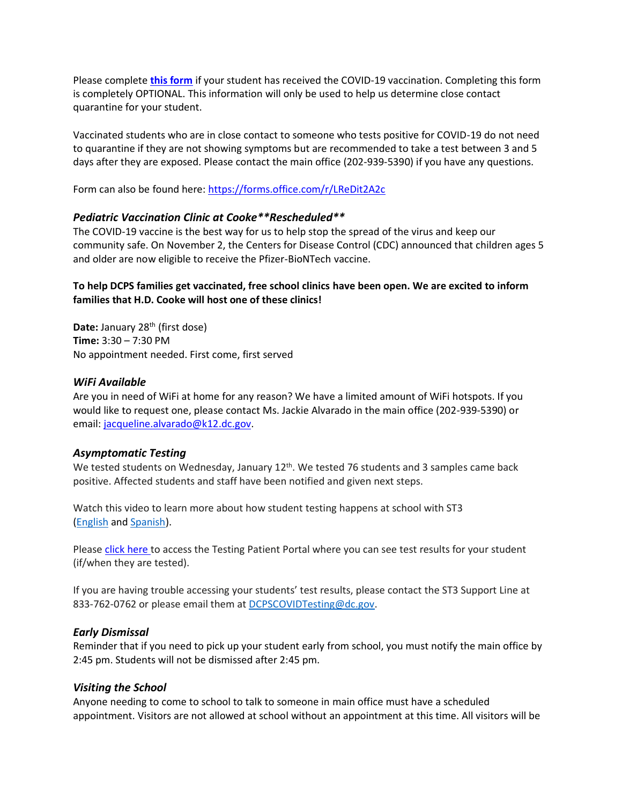Please complete **[this form](https://forms.office.com/r/LReDit2A2c)** if your student has received the COVID-19 vaccination. Completing this form is completely OPTIONAL. This information will only be used to help us determine close contact quarantine for your student.

Vaccinated students who are in close contact to someone who tests positive for COVID-19 do not need to quarantine if they are not showing symptoms but are recommended to take a test between 3 and 5 days after they are exposed. Please contact the main office (202-939-5390) if you have any questions.

Form can also be found here:<https://forms.office.com/r/LReDit2A2c>

## *Pediatric Vaccination Clinic at Cooke\*\*Rescheduled\*\**

The COVID-19 vaccine is the best way for us to help stop the spread of the virus and keep our community safe. On November 2, the Centers for Disease Control (CDC) announced that children ages 5 and older are now eligible to receive the Pfizer-BioNTech vaccine.

## **To help DCPS families get vaccinated, free school clinics have been open. We are excited to inform families that H.D. Cooke will host one of these clinics!**

**Date:** January 28<sup>th</sup> (first dose) **Time:** 3:30 – 7:30 PM No appointment needed. First come, first served

## *WiFi Available*

Are you in need of WiFi at home for any reason? We have a limited amount of WiFi hotspots. If you would like to request one, please contact Ms. Jackie Alvarado in the main office (202-939-5390) or email: [jacqueline.alvarado@k12.dc.gov.](mailto:jacqueline.alvarado@k12.dc.gov)

## *Asymptomatic Testing*

We tested students on Wednesday, January 12<sup>th</sup>. We tested 76 students and 3 samples came back positive. Affected students and staff have been notified and given next steps.

Watch this video to learn more about how student testing happens at school with ST3 [\(English](https://urldefense.proofpoint.com/v2/url?u=https-3A__rise.articulate.com_share_-2Dq6MdIeo2V42boWuOGTu8i4-2DcT9E-5Fpjy-23_lessons_QicMYr-5FNcrCg54C5EtRyuC-2DwHJjQQVR2&d=DwMFAg&c=euGZstcaTDllvimEN8b7jXrwqOf-v5A_CdpgnVfiiMM&r=r7MsakikdNxOh-N_Ssj9mdJUMRjWvhYw18Eqx42UE40&m=-vbhK74dxdF3UGFM3KXX_Mk-PGWZWrPZHiFLh_rcYM0&s=470EC6i3UbApDRfaxDIuMzBPFqhzK2pNSc-krTjYzOw&e=) and [Spanish\)](https://urldefense.proofpoint.com/v2/url?u=https-3A__youtu.be_PRaXjkFlGGQ&d=DwMFAg&c=euGZstcaTDllvimEN8b7jXrwqOf-v5A_CdpgnVfiiMM&r=r7MsakikdNxOh-N_Ssj9mdJUMRjWvhYw18Eqx42UE40&m=-vbhK74dxdF3UGFM3KXX_Mk-PGWZWrPZHiFLh_rcYM0&s=yCXksETv2O2ZulcBl9cazNcOvmB9Inp-drZAlbuFkaw&e=).

Please click [here](https://shieldt3k12portal.pointnclick.com/login_login.aspx) to access the Testing Patient Portal where you can see test results for your student (if/when they are tested).

If you are having trouble accessing your students' test results, please contact the ST3 Support Line at 833-762-0762 or please email them at [DCPSCOVIDTesting@dc.gov.](mailto:DCPSCOVIDTesting@dc.gov)

# *Early Dismissal*

Reminder that if you need to pick up your student early from school, you must notify the main office by 2:45 pm. Students will not be dismissed after 2:45 pm.

# *Visiting the School*

Anyone needing to come to school to talk to someone in main office must have a scheduled appointment. Visitors are not allowed at school without an appointment at this time. All visitors will be